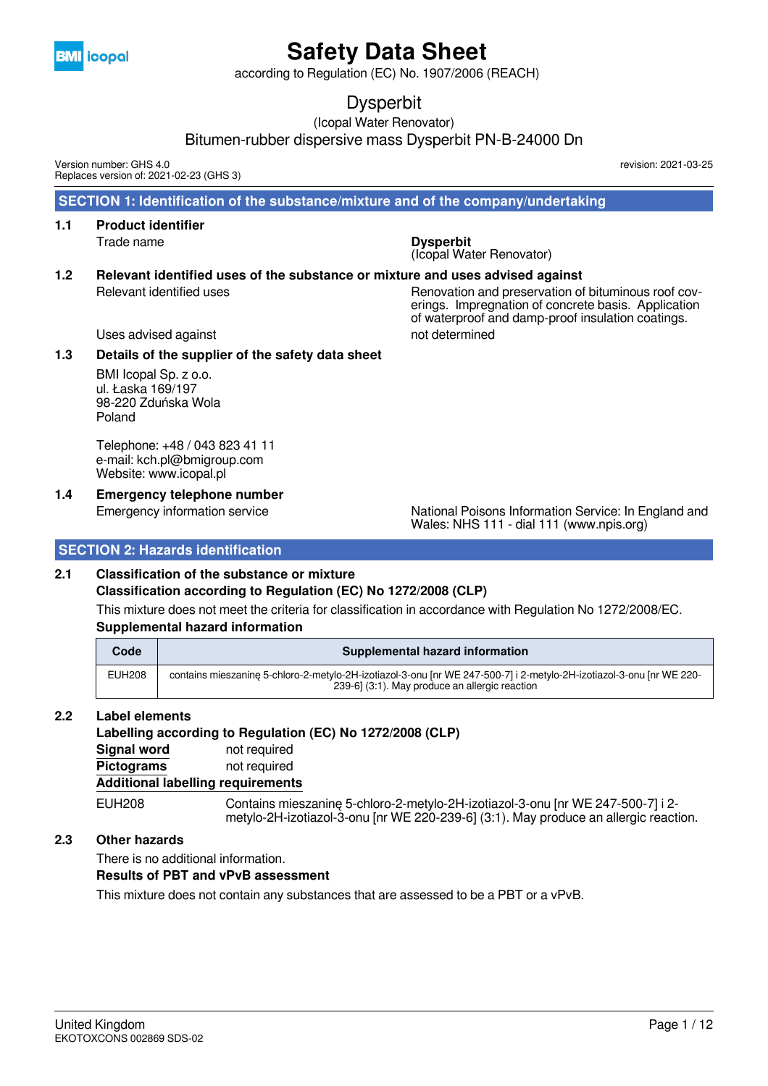

according to Regulation (EC) No. 1907/2006 (REACH)

# Dysperbit

(Icopal Water Renovator)

Bitumen-rubber dispersive mass Dysperbit PN-B-24000 Dn

Version number: GHS 4.0 Replaces version of: 2021-02-23 (GHS 3) revision: 2021-03-25

 **SECTION 1: Identification of the substance/mixture and of the company/undertaking**

**1.1 Product identifier** Trade name **Dysperbit**

(Icopal Water Renovator)

**1.2 Relevant identified uses of the substance or mixture and uses advised against** Relevant identified uses Renovation and preservation of bituminous roof cov-

erings. Impregnation of concrete basis. Application of waterproof and damp-proof insulation coatings.

Uses advised against not determined

#### **1.3 Details of the supplier of the safety data sheet**

BMI Icopal Sp. z o.o. ul. Łaska 169/197 98-220 Zduńska Wola Poland

Telephone: +48 / 043 823 41 11 e-mail: kch.pl@bmigroup.com Website: www.icopal.pl

**1.4 Emergency telephone number**

Emergency information service National Poisons Information Service: In England and Wales: NHS 111 - dial 111 (www.npis.org)

## **SECTION 2: Hazards identification**

## **2.1 Classification of the substance or mixture**

## **Classification according to Regulation (EC) No 1272/2008 (CLP)**

This mixture does not meet the criteria for classification in accordance with Regulation No 1272/2008/EC. **Supplemental hazard information**

| Code          | Supplemental hazard information                                                                                                                                        |
|---------------|------------------------------------------------------------------------------------------------------------------------------------------------------------------------|
| <b>EUH208</b> | contains mieszanine 5-chloro-2-metylo-2H-izotiazol-3-onu [nr WE 247-500-7] i 2-metylo-2H-izotiazol-3-onu [nr WE 220-<br>239-6] (3:1). May produce an allergic reaction |

#### **2.2 Label elements**

**Labelling according to Regulation (EC) No 1272/2008 (CLP)**

**Signal word** not required **Pictograms** not required

**Additional labelling requirements**

EUH208 Contains mieszaninę 5-chloro-2-metylo-2H-izotiazol-3-onu [nr WE 247-500-7] i 2 metylo-2H-izotiazol-3-onu [nr WE 220-239-6] (3:1). May produce an allergic reaction.

## **2.3 Other hazards**

There is no additional information.

#### **Results of PBT and vPvB assessment**

This mixture does not contain any substances that are assessed to be a PBT or a vPvB.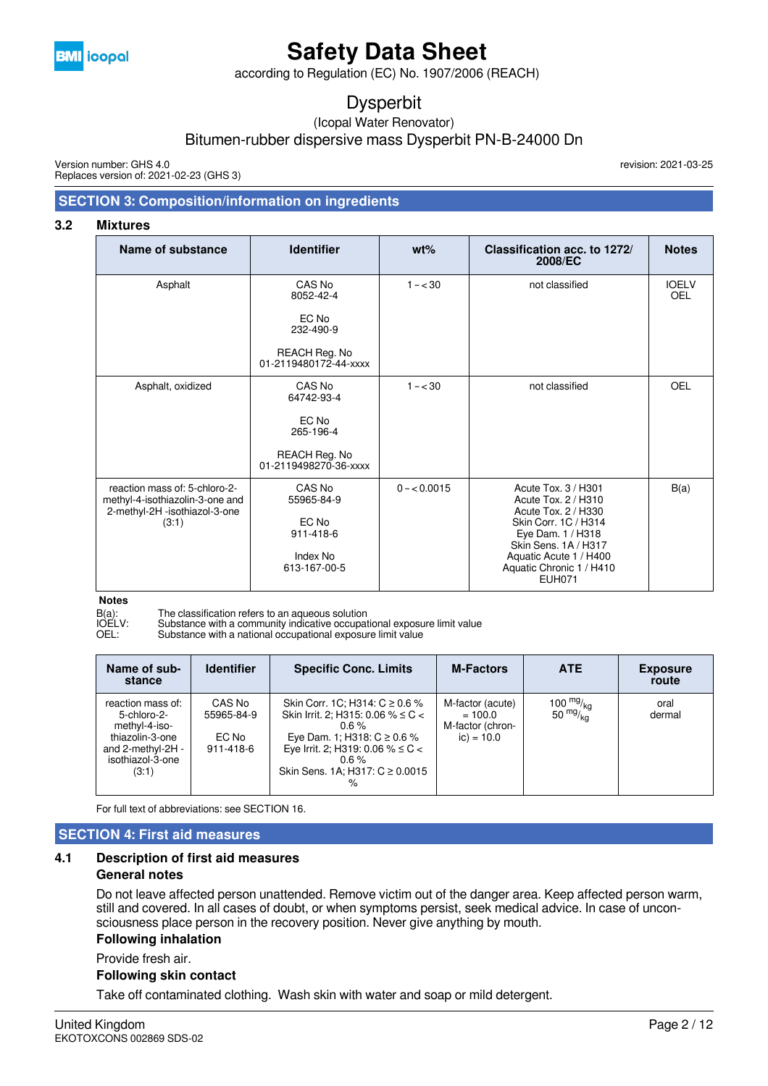

according to Regulation (EC) No. 1907/2006 (REACH)

Dysperbit

(Icopal Water Renovator)

Bitumen-rubber dispersive mass Dysperbit PN-B-24000 Dn

Version number: GHS 4.0 Replaces version of: 2021-02-23 (GHS 3) revision: 2021-03-25

### **SECTION 3: Composition/information on ingredients**

#### **3.2 Mixtures**

| <b>Name of substance</b>                                                                                   | <b>Identifier</b>                                                      | $wt\%$       | Classification acc. to 1272/<br>2008/EC                                                                                                                                                                       | <b>Notes</b>               |
|------------------------------------------------------------------------------------------------------------|------------------------------------------------------------------------|--------------|---------------------------------------------------------------------------------------------------------------------------------------------------------------------------------------------------------------|----------------------------|
| Asphalt                                                                                                    | CAS No<br>8052-42-4                                                    | $1 - < 30$   | not classified                                                                                                                                                                                                | <b>IOELV</b><br><b>OEL</b> |
|                                                                                                            | EC No<br>232-490-9                                                     |              |                                                                                                                                                                                                               |                            |
|                                                                                                            | REACH Reg. No<br>01-2119480172-44-xxxx                                 |              |                                                                                                                                                                                                               |                            |
| Asphalt, oxidized                                                                                          | CAS No<br>64742-93-4                                                   | $1 - < 30$   | not classified                                                                                                                                                                                                | <b>OEL</b>                 |
|                                                                                                            | EC No<br>265-196-4                                                     |              |                                                                                                                                                                                                               |                            |
|                                                                                                            | REACH Reg. No<br>01-2119498270-36-xxxx                                 |              |                                                                                                                                                                                                               |                            |
| reaction mass of: 5-chloro-2-<br>methyl-4-isothiazolin-3-one and<br>2-methyl-2H -isothiazol-3-one<br>(3:1) | CAS No<br>55965-84-9<br>EC No<br>911-418-6<br>Index No<br>613-167-00-5 | $0 - 0.0015$ | Acute Tox, 3 / H301<br>Acute Tox. 2 / H310<br>Acute Tox, 2 / H330<br>Skin Corr. 1C / H314<br>Eye Dam. 1 / H318<br>Skin Sens. 1A / H317<br>Aquatic Acute 1 / H400<br>Aquatic Chronic 1 / H410<br><b>EUH071</b> | B(a)                       |

**Notes**<br>**B**(a):<br>**IOELV:** 

The classification refers to an aqueous solution

IOELV:<br>IOELV: Substance with a community indicative occupational exposure limit value<br>OEL: Substance with a national occupational exposure limit value

Substance with a national occupational exposure limit value

| Name of sub-<br>stance                                                                                                 | <b>Identifier</b>                          | <b>Specific Conc. Limits</b>                                                                                                                                                                                      | <b>M-Factors</b>                                                  | <b>ATE</b>                         | <b>Exposure</b><br>route |
|------------------------------------------------------------------------------------------------------------------------|--------------------------------------------|-------------------------------------------------------------------------------------------------------------------------------------------------------------------------------------------------------------------|-------------------------------------------------------------------|------------------------------------|--------------------------|
| reaction mass of:<br>5-chloro-2-<br>methyl-4-iso-<br>thiazolin-3-one<br>and 2-methyl-2H -<br>isothiazol-3-one<br>(3:1) | CAS No<br>55965-84-9<br>EC No<br>911-418-6 | Skin Corr. 1C; H314: C ≥ 0.6 %<br>Skin Irrit. 2; H315: 0.06 % $\leq$ C $<$<br>$0.6\%$<br>Eye Dam. 1; H318: $C \ge 0.6$ %<br>Eye Irrit. 2; H319: 0.06 % $\leq$ C $<$<br>$0.6\%$<br>Skin Sens. 1A; H317: C ≥ 0.0015 | M-factor (acute)<br>$= 100.0$<br>M-factor (chron-<br>$ic) = 10.0$ | $\frac{100}{50}$ mg/ <sub>kg</sub> | oral<br>dermal           |

For full text of abbreviations: see SECTION 16.

#### **SECTION 4: First aid measures**

#### **4.1 Description of first aid measures**

#### **General notes**

Do not leave affected person unattended. Remove victim out of the danger area. Keep affected person warm, still and covered. In all cases of doubt, or when symptoms persist, seek medical advice. In case of unconsciousness place person in the recovery position. Never give anything by mouth.

#### **Following inhalation**

Provide fresh air.

#### **Following skin contact**

Take off contaminated clothing. Wash skin with water and soap or mild detergent.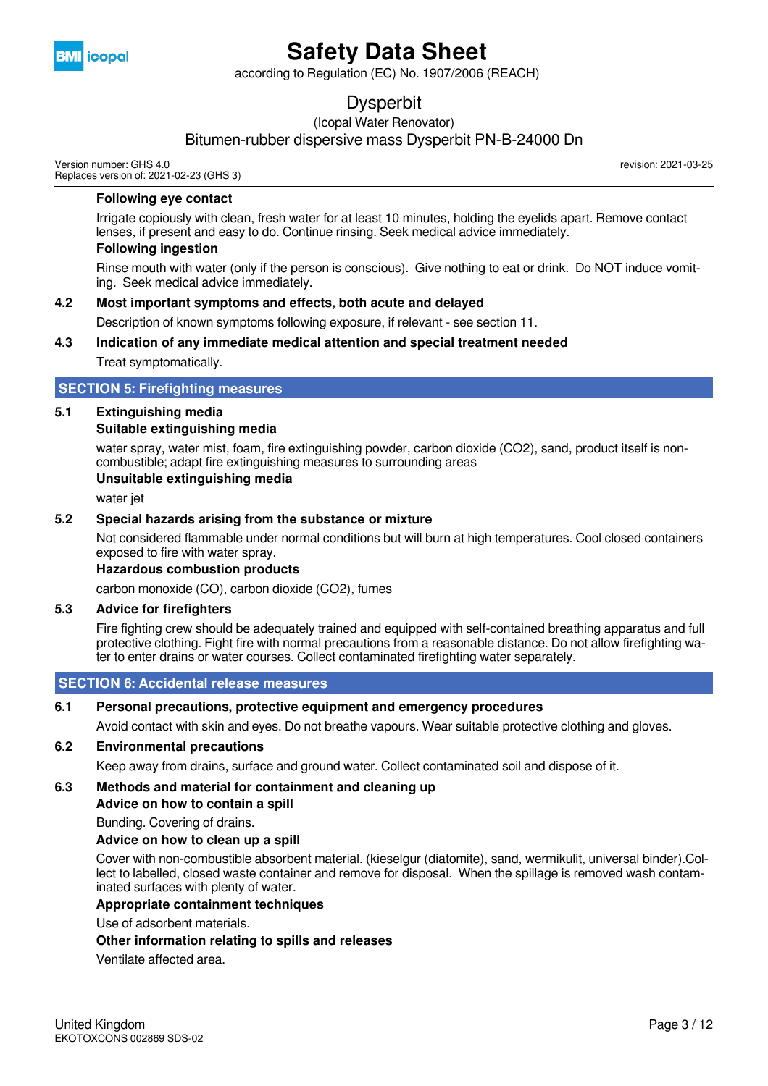

according to Regulation (EC) No. 1907/2006 (REACH)

# Dysperbit

(Icopal Water Renovator)

# Bitumen-rubber dispersive mass Dysperbit PN-B-24000 Dn

Version number: GHS 4.0 Replaces version of: 2021-02-23 (GHS 3) revision: 2021-03-25

#### **Following eye contact**

Irrigate copiously with clean, fresh water for at least 10 minutes, holding the eyelids apart. Remove contact lenses, if present and easy to do. Continue rinsing. Seek medical advice immediately.

#### **Following ingestion**

Rinse mouth with water (only if the person is conscious). Give nothing to eat or drink. Do NOT induce vomiting. Seek medical advice immediately.

#### **4.2 Most important symptoms and effects, both acute and delayed**

Description of known symptoms following exposure, if relevant - see section 11.

#### **4.3 Indication of any immediate medical attention and special treatment needed** Treat symptomatically.

### **SECTION 5: Firefighting measures**

## **5.1 Extinguishing media**

#### **Suitable extinguishing media**

water spray, water mist, foam, fire extinguishing powder, carbon dioxide (CO2), sand, product itself is noncombustible; adapt fire extinguishing measures to surrounding areas

#### **Unsuitable extinguishing media**

water jet

#### **5.2 Special hazards arising from the substance or mixture**

Not considered flammable under normal conditions but will burn at high temperatures. Cool closed containers exposed to fire with water spray.

#### **Hazardous combustion products**

carbon monoxide (CO), carbon dioxide (CO2), fumes

#### **5.3 Advice for firefighters**

Fire fighting crew should be adequately trained and equipped with self-contained breathing apparatus and full protective clothing. Fight fire with normal precautions from a reasonable distance. Do not allow firefighting water to enter drains or water courses. Collect contaminated firefighting water separately.

#### **SECTION 6: Accidental release measures**

#### **6.1 Personal precautions, protective equipment and emergency procedures**

Avoid contact with skin and eyes. Do not breathe vapours. Wear suitable protective clothing and gloves.

#### **6.2 Environmental precautions**

Keep away from drains, surface and ground water. Collect contaminated soil and dispose of it.

#### **6.3 Methods and material for containment and cleaning up**

#### **Advice on how to contain a spill**

Bunding. Covering of drains.

#### **Advice on how to clean up a spill**

Cover with non-combustible absorbent material. (kieselgur (diatomite), sand, wermikulit, universal binder).Collect to labelled, closed waste container and remove for disposal. When the spillage is removed wash contaminated surfaces with plenty of water.

#### **Appropriate containment techniques**

#### Use of adsorbent materials.

**Other information relating to spills and releases**

Ventilate affected area.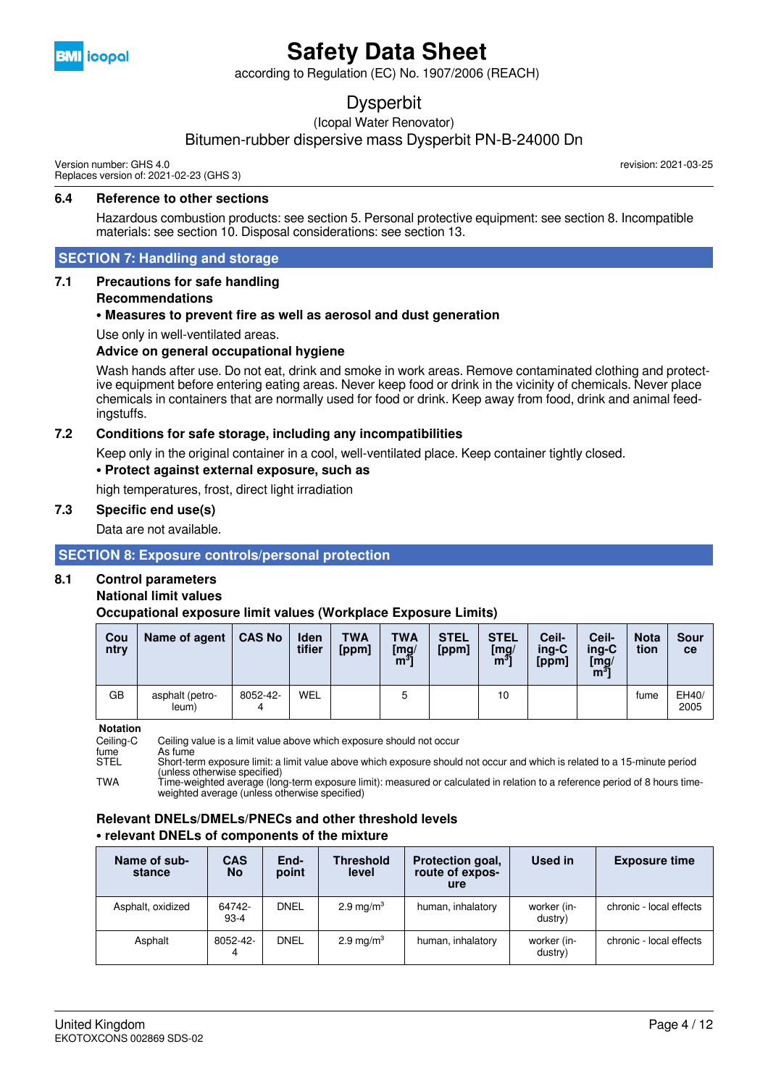

according to Regulation (EC) No. 1907/2006 (REACH)

# Dysperbit

(Icopal Water Renovator)

# Bitumen-rubber dispersive mass Dysperbit PN-B-24000 Dn

Version number: GHS 4.0 Replaces version of: 2021-02-23 (GHS 3)

#### **6.4 Reference to other sections**

Hazardous combustion products: see section 5. Personal protective equipment: see section 8. Incompatible materials: see section 10. Disposal considerations: see section 13.

#### **SECTION 7: Handling and storage**

#### **7.1 Precautions for safe handling Recommendations**

#### **• Measures to prevent fire as well as aerosol and dust generation**

Use only in well-ventilated areas.

#### **Advice on general occupational hygiene**

Wash hands after use. Do not eat, drink and smoke in work areas. Remove contaminated clothing and protective equipment before entering eating areas. Never keep food or drink in the vicinity of chemicals. Never place chemicals in containers that are normally used for food or drink. Keep away from food, drink and animal feedingstuffs.

### **7.2 Conditions for safe storage, including any incompatibilities**

Keep only in the original container in a cool, well-ventilated place. Keep container tightly closed.

### **• Protect against external exposure, such as**

high temperatures, frost, direct light irradiation

#### **7.3 Specific end use(s)**

Data are not available.

#### **SECTION 8: Exposure controls/personal protection**

#### **8.1 Control parameters**

#### **National limit values**

#### **Occupational exposure limit values (Workplace Exposure Limits)**

| Cou<br>ntry | Name of agent            | <b>CAS No</b> | <b>Iden</b><br>tifier | <b>TWA</b><br>[ppm] | <b>TWA</b><br>[mg]<br>m٠ | <b>STEL</b><br>[ppm] | <b>STEL</b><br>$\begin{bmatrix} \mathsf{mg} / \ \mathsf{m}^3 \end{bmatrix}$ | Ceil-<br>ing-C<br>[ppm] | Ceil-<br>ing-C<br>[mg/<br>m <sup>3</sup> l | <b>Nota</b><br>tion | Sour<br>ce    |
|-------------|--------------------------|---------------|-----------------------|---------------------|--------------------------|----------------------|-----------------------------------------------------------------------------|-------------------------|--------------------------------------------|---------------------|---------------|
| GB          | asphalt (petro-<br>leum) | 8052-42-<br>4 | <b>WEL</b>            |                     | 5                        |                      | 10                                                                          |                         |                                            | fume                | EH40/<br>2005 |

**Notation**<br>Ceiling-C

Ceiling-C Ceiling value is a limit value above which exposure should not occur

fume As fume<br>STFI Short-ter

Short-term exposure limit: a limit value above which exposure should not occur and which is related to a 15-minute period (unless otherwise specified)

TWA Time-weighted average (long-term exposure limit): measured or calculated in relation to a reference period of 8 hours timeweighted average (unless otherwise specified)

#### **Relevant DNELs/DMELs/PNECs and other threshold levels • relevant DNELs of components of the mixture**

| Name of sub-<br>stance | <b>CAS</b><br><b>No</b> | End-<br>point | <b>Threshold</b><br>level | Protection goal,<br>route of expos-<br>ure | Used in                | <b>Exposure time</b>    |
|------------------------|-------------------------|---------------|---------------------------|--------------------------------------------|------------------------|-------------------------|
| Asphalt, oxidized      | 64742-<br>$93-4$        | <b>DNEL</b>   | $2.9 \text{ mg/m}^3$      | human, inhalatory                          | worker (in-<br>dustry) | chronic - local effects |
| Asphalt                | 8052-42-                | DNEL          | $2.9 \text{ mg/m}^3$      | human, inhalatory                          | worker (in-<br>dustry) | chronic - local effects |

revision: 2021-03-25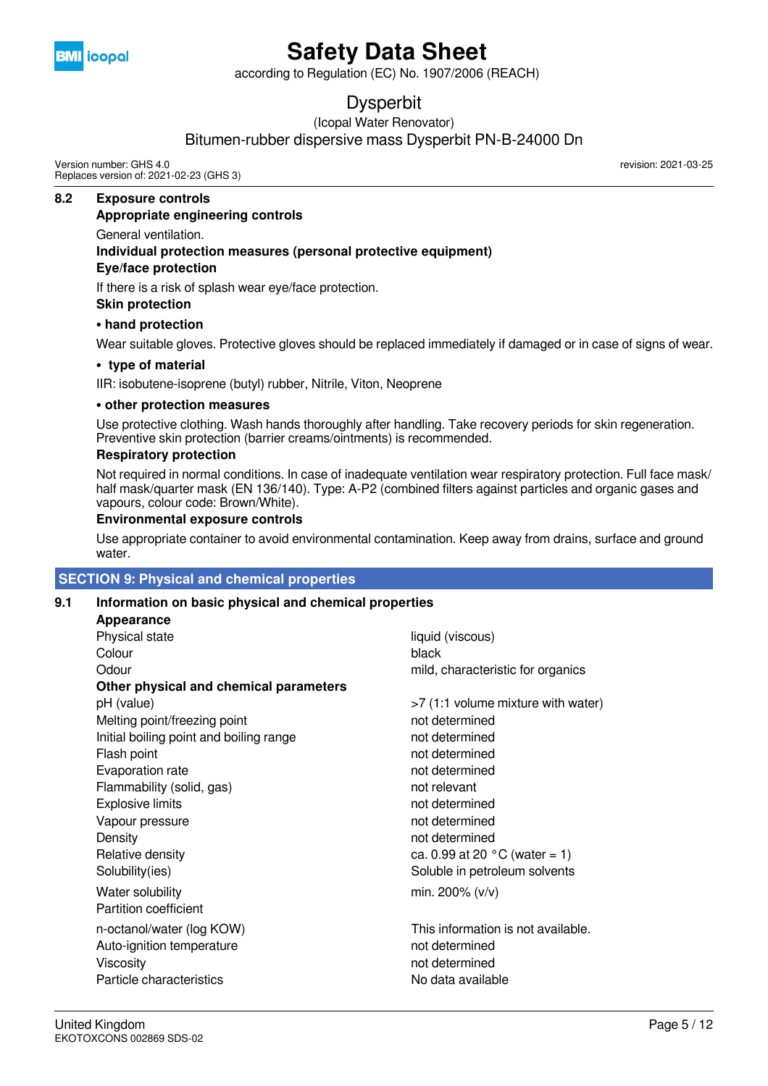

according to Regulation (EC) No. 1907/2006 (REACH)

# Dysperbit

(Icopal Water Renovator)

# Bitumen-rubber dispersive mass Dysperbit PN-B-24000 Dn

Version number: GHS 4.0 Replaces version of: 2021-02-23 (GHS 3) revision: 2021-03-25

#### **8.2 Exposure controls Appropriate engineering controls** General ventilation. **Individual protection measures (personal protective equipment) Eye/face protection**

If there is a risk of splash wear eye/face protection. **Skin protection**

### **• hand protection**

Wear suitable gloves. Protective gloves should be replaced immediately if damaged or in case of signs of wear.

#### **• type of material**

IIR: isobutene-isoprene (butyl) rubber, Nitrile, Viton, Neoprene

#### **• other protection measures**

Use protective clothing. Wash hands thoroughly after handling. Take recovery periods for skin regeneration. Preventive skin protection (barrier creams/ointments) is recommended.

#### **Respiratory protection**

Not required in normal conditions. In case of inadequate ventilation wear respiratory protection. Full face mask/ half mask/quarter mask (EN 136/140). Type: A-P2 (combined filters against particles and organic gases and vapours, colour code: Brown/White).

#### **Environmental exposure controls**

Use appropriate container to avoid environmental contamination. Keep away from drains, surface and ground water.

## **SECTION 9: Physical and chemical properties**

#### **9.1 Information on basic physical and chemical properties**

| Appearance                              |                                                                            |
|-----------------------------------------|----------------------------------------------------------------------------|
| Physical state                          | liquid (viscous)                                                           |
| Colour                                  | black                                                                      |
| Odour                                   | mild, characteristic for organics                                          |
| Other physical and chemical parameters  |                                                                            |
| pH (value)                              | >7 (1:1 volume mixture with water)                                         |
| Melting point/freezing point            | not determined                                                             |
| Initial boiling point and boiling range | not determined                                                             |
| Flash point                             | not determined                                                             |
| Evaporation rate                        | not determined                                                             |
| Flammability (solid, gas)               | not relevant                                                               |
| <b>Explosive limits</b>                 | not determined                                                             |
| Vapour pressure                         | not determined                                                             |
| Density                                 | not determined                                                             |
| Relative density                        | ca. 0.99 at 20 $^{\circ}$ C (water = 1)                                    |
| Solubility(ies)                         | Soluble in petroleum solvents                                              |
|                                         | min. 200% $(v/v)$                                                          |
| Partition coefficient                   |                                                                            |
|                                         | This information is not available.                                         |
|                                         | not determined                                                             |
| Viscosity                               | not determined                                                             |
| Particle characteristics                | No data available                                                          |
|                                         | Water solubility<br>n-octanol/water (log KOW)<br>Auto-ignition temperature |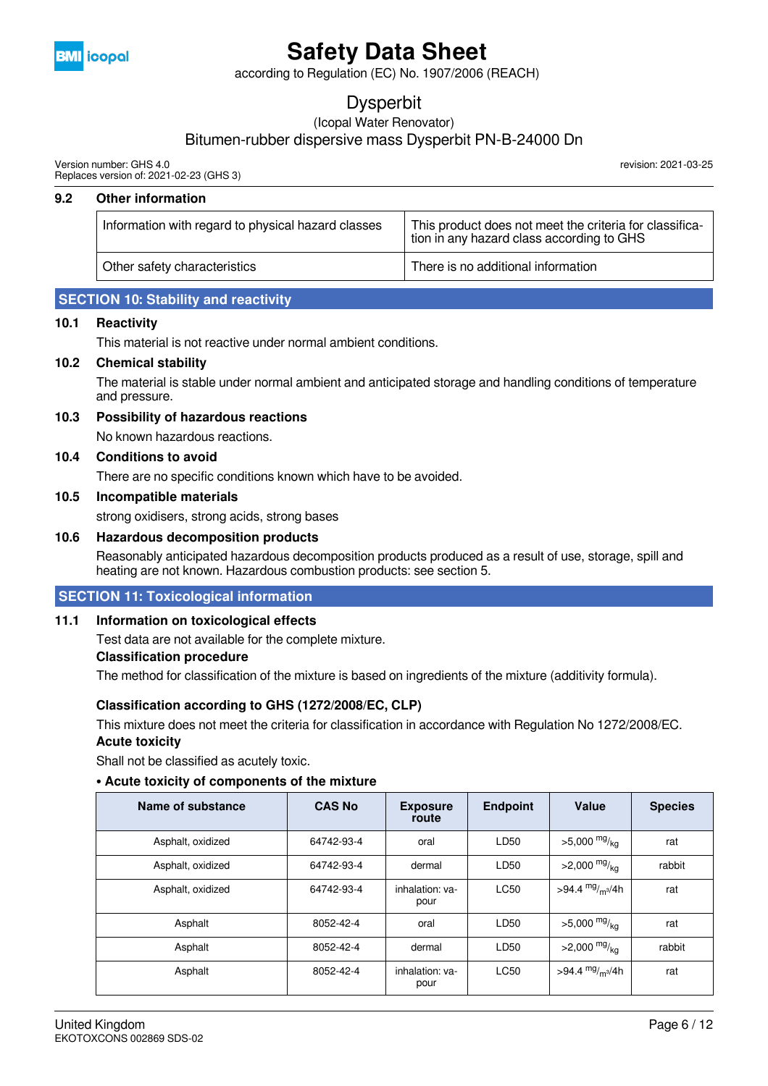

according to Regulation (EC) No. 1907/2006 (REACH)

# Dysperbit

(Icopal Water Renovator)

# Bitumen-rubber dispersive mass Dysperbit PN-B-24000 Dn

Version number: GHS 4.0 Replaces version of: 2021-02-23 (GHS 3)

### revision: 2021-03-25

#### **9.2 Other information**

| Information with regard to physical hazard classes | This product does not meet the criteria for classifica-<br>tion in any hazard class according to GHS |
|----------------------------------------------------|------------------------------------------------------------------------------------------------------|
| Other safety characteristics                       | There is no additional information                                                                   |

### **SECTION 10: Stability and reactivity**

#### **10.1 Reactivity**

This material is not reactive under normal ambient conditions.

#### **10.2 Chemical stability**

The material is stable under normal ambient and anticipated storage and handling conditions of temperature and pressure.

#### **10.3 Possibility of hazardous reactions**

No known hazardous reactions.

#### **10.4 Conditions to avoid**

There are no specific conditions known which have to be avoided.

#### **10.5 Incompatible materials**

strong oxidisers, strong acids, strong bases

#### **10.6 Hazardous decomposition products**

Reasonably anticipated hazardous decomposition products produced as a result of use, storage, spill and heating are not known. Hazardous combustion products: see section 5.

#### **SECTION 11: Toxicological information**

#### **11.1 Information on toxicological effects**

Test data are not available for the complete mixture.

#### **Classification procedure**

The method for classification of the mixture is based on ingredients of the mixture (additivity formula).

#### **Classification according to GHS (1272/2008/EC, CLP)**

This mixture does not meet the criteria for classification in accordance with Regulation No 1272/2008/EC. **Acute toxicity**

Shall not be classified as acutely toxic.

#### **• Acute toxicity of components of the mixture**

| <b>Name of substance</b> | <b>CAS No</b> | <b>Exposure</b><br>route | <b>Endpoint</b> | Value                      | <b>Species</b> |
|--------------------------|---------------|--------------------------|-----------------|----------------------------|----------------|
| Asphalt, oxidized        | 64742-93-4    | oral                     | LD50            | $>5,000$ mg/ <sub>ka</sub> | rat            |
| Asphalt, oxidized        | 64742-93-4    | dermal                   | LD50            | $>2,000$ mg/ <sub>kg</sub> | rabbit         |
| Asphalt, oxidized        | 64742-93-4    | inhalation: ya-<br>pour  | <b>LC50</b>     | >94.4 $mg/m^{3}/4h$        | rat            |
| Asphalt                  | 8052-42-4     | oral                     | LD50            | $>5,000$ mg/ <sub>ka</sub> | rat            |
| Asphalt                  | 8052-42-4     | dermal                   | LD50            | $>2,000$ mg/ <sub>kg</sub> | rabbit         |
| Asphalt                  | 8052-42-4     | inhalation: va-<br>pour  | <b>LC50</b>     | >94.4 $mg/m^{3}/4h$        | rat            |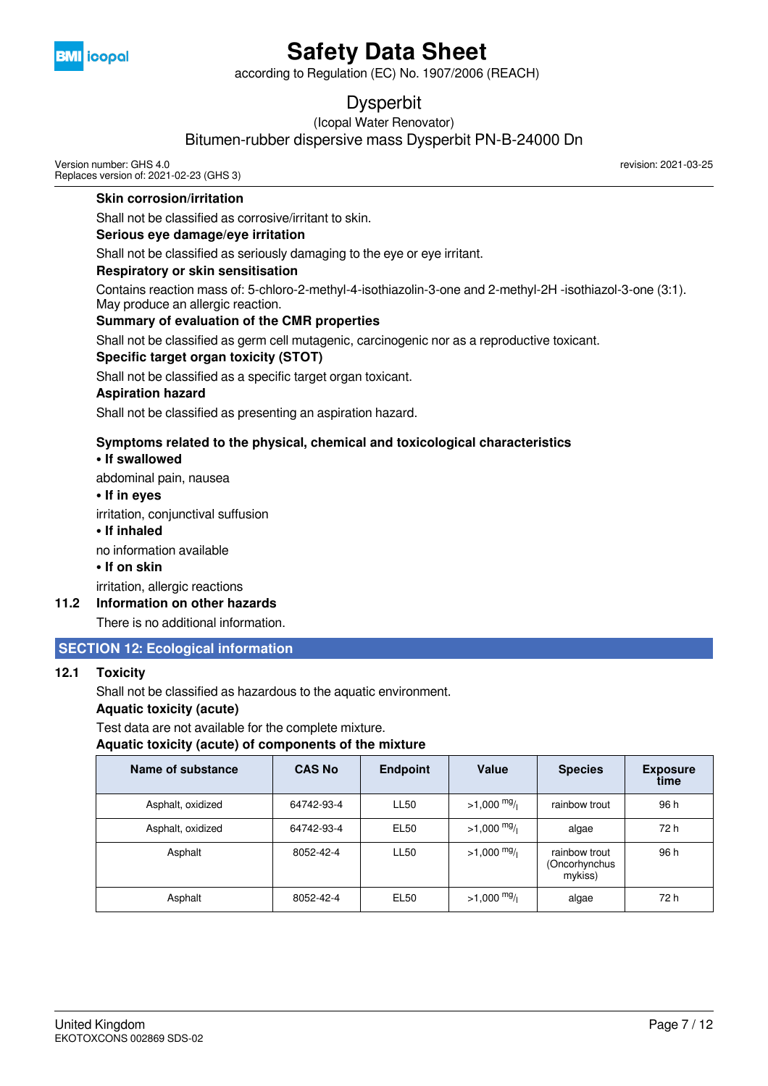

according to Regulation (EC) No. 1907/2006 (REACH)

# Dysperbit

(Icopal Water Renovator)

# Bitumen-rubber dispersive mass Dysperbit PN-B-24000 Dn

Version number: GHS 4.0 Replaces version of: 2021-02-23 (GHS 3) revision: 2021-03-25

## **Skin corrosion/irritation**

Shall not be classified as corrosive/irritant to skin.

### **Serious eye damage/eye irritation**

Shall not be classified as seriously damaging to the eye or eye irritant.

#### **Respiratory or skin sensitisation**

Contains reaction mass of: 5-chloro-2-methyl-4-isothiazolin-3-one and 2-methyl-2H -isothiazol-3-one (3:1). May produce an allergic reaction.

### **Summary of evaluation of the CMR properties**

Shall not be classified as germ cell mutagenic, carcinogenic nor as a reproductive toxicant.

#### **Specific target organ toxicity (STOT)**

Shall not be classified as a specific target organ toxicant.

#### **Aspiration hazard**

Shall not be classified as presenting an aspiration hazard.

### **Symptoms related to the physical, chemical and toxicological characteristics**

#### **• If swallowed**

abdominal pain, nausea

### **• If in eyes**

irritation, conjunctival suffusion

### **• If inhaled**

no information available

#### **• If on skin**

irritation, allergic reactions

#### **11.2 Information on other hazards**

There is no additional information.

## **SECTION 12: Ecological information**

## **12.1 Toxicity**

Shall not be classified as hazardous to the aquatic environment.

#### **Aquatic toxicity (acute)**

Test data are not available for the complete mixture.

#### **Aquatic toxicity (acute) of components of the mixture**

| Name of substance | <b>CAS No</b> | <b>Endpoint</b> | Value                 | <b>Species</b>                            | <b>Exposure</b><br>time |
|-------------------|---------------|-----------------|-----------------------|-------------------------------------------|-------------------------|
| Asphalt, oxidized | 64742-93-4    | <b>LL50</b>     | $>1,000$ mg/          | rainbow trout                             | 96 h                    |
| Asphalt, oxidized | 64742-93-4    | <b>EL50</b>     | $>1,000$ mg/          | algae                                     | 72 h                    |
| Asphalt           | 8052-42-4     | <b>LL50</b>     | $>1,000 \frac{mg}{l}$ | rainbow trout<br>(Oncorhynchus<br>mykiss) | 96 h                    |
| Asphalt           | 8052-42-4     | EL50            | $>1,000$ mg/          | algae                                     | 72 h                    |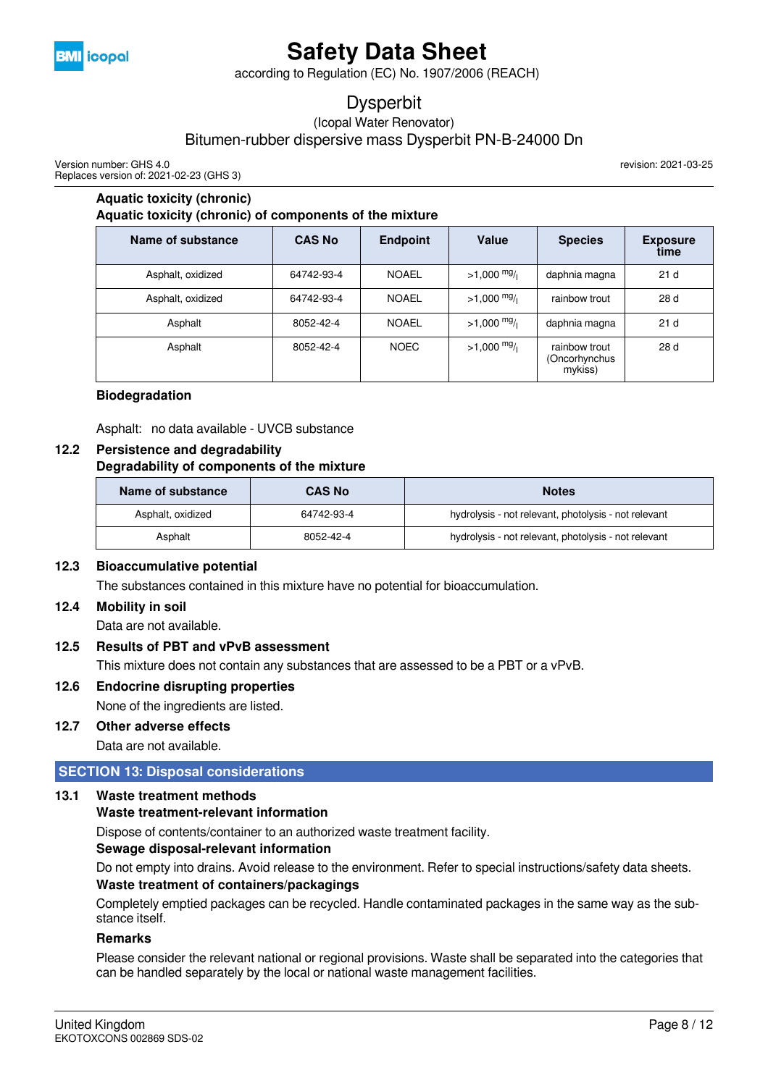

according to Regulation (EC) No. 1907/2006 (REACH)

# Dysperbit

(Icopal Water Renovator)

Bitumen-rubber dispersive mass Dysperbit PN-B-24000 Dn

Version number: GHS 4.0 Replaces version of: 2021-02-23 (GHS 3)

**Aquatic toxicity (chronic)**

revision: 2021-03-25

| Aquatic toxicity (chronic) of components of the mixture |               |                 |                       |                                           |                         |  |  |
|---------------------------------------------------------|---------------|-----------------|-----------------------|-------------------------------------------|-------------------------|--|--|
| Name of substance                                       | <b>CAS No</b> | <b>Endpoint</b> | Value                 | <b>Species</b>                            | <b>Exposure</b><br>time |  |  |
| Asphalt, oxidized                                       | 64742-93-4    | <b>NOAEL</b>    | $>1,000$ mg/          | daphnia magna                             | 21 <sub>d</sub>         |  |  |
| Asphalt, oxidized                                       | 64742-93-4    | <b>NOAEL</b>    | $>1,000 \frac{mg}{l}$ | rainbow trout                             | 28 d                    |  |  |
| Asphalt                                                 | 8052-42-4     | <b>NOAEL</b>    | $>1,000$ mg/          | daphnia magna                             | 21 <sub>d</sub>         |  |  |
| Asphalt                                                 | 8052-42-4     | <b>NOEC</b>     | $>1,000$ mg/          | rainbow trout<br>(Oncorhynchus<br>mykiss) | 28 d                    |  |  |

### **Biodegradation**

Asphalt: no data available - UVCB substance

#### **12.2 Persistence and degradability Degradability of components of the mixture**

| Name of substance               | <b>CAS No</b> | <b>Notes</b>                                         |  |  |
|---------------------------------|---------------|------------------------------------------------------|--|--|
| Asphalt, oxidized<br>64742-93-4 |               | hydrolysis - not relevant, photolysis - not relevant |  |  |
| Asphalt<br>8052-42-4            |               | hydrolysis - not relevant, photolysis - not relevant |  |  |

#### **12.3 Bioaccumulative potential**

The substances contained in this mixture have no potential for bioaccumulation.

#### **12.4 Mobility in soil**

Data are not available.

#### **12.5 Results of PBT and vPvB assessment**

This mixture does not contain any substances that are assessed to be a PBT or a vPvB.

#### **12.6 Endocrine disrupting properties**

None of the ingredients are listed.

#### **12.7 Other adverse effects**

Data are not available.

#### **SECTION 13: Disposal considerations**

#### **13.1 Waste treatment methods**

#### **Waste treatment-relevant information**

Dispose of contents/container to an authorized waste treatment facility.

#### **Sewage disposal-relevant information**

Do not empty into drains. Avoid release to the environment. Refer to special instructions/safety data sheets. **Waste treatment of containers/packagings**

Completely emptied packages can be recycled. Handle contaminated packages in the same way as the substance itself.

#### **Remarks**

Please consider the relevant national or regional provisions. Waste shall be separated into the categories that can be handled separately by the local or national waste management facilities.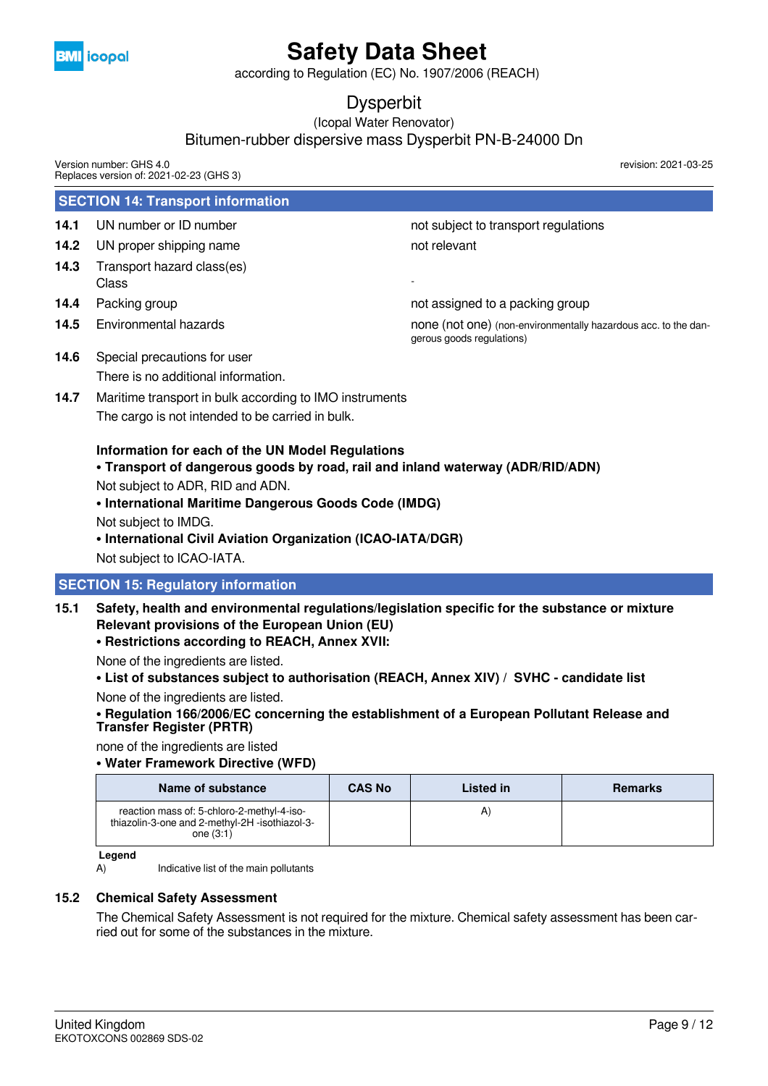

according to Regulation (EC) No. 1907/2006 (REACH)

# Dysperbit

(Icopal Water Renovator)

# Bitumen-rubber dispersive mass Dysperbit PN-B-24000 Dn

 **SECTION 14: Transport information 14.1** UN number or ID number **not subject to transport requlations 14.2** UN proper shipping name not relevant **14.3** Transport hazard class(es) Class **Class** - The Class of the Class of the Class of the Class of the Class of the Class of the Class of the C **14.4** Packing group **not assigned to a packing group** not assigned to a packing group **14.5** Environmental hazards **none** is none (not one) (non-environmentally hazardous acc. to the dangerous goods regulations) **14.6** Special precautions for user There is no additional information. **14.7** Maritime transport in bulk according to IMO instruments The cargo is not intended to be carried in bulk. **Information for each of the UN Model Regulations • Transport of dangerous goods by road, rail and inland waterway (ADR/RID/ADN)** Not subject to ADR, RID and ADN. **• International Maritime Dangerous Goods Code (IMDG)** Not subject to IMDG. **• International Civil Aviation Organization (ICAO-IATA/DGR)** Not subject to ICAO-IATA.  **SECTION 15: Regulatory information 15.1 Safety, health and environmental regulations/legislation specific for the substance or mixture Relevant provisions of the European Union (EU) • Restrictions according to REACH, Annex XVII:** None of the ingredients are listed. **• List of substances subject to authorisation (REACH, Annex XIV) / SVHC - candidate list** None of the ingredients are listed. **• Regulation 166/2006/EC concerning the establishment of a European Pollutant Release and Transfer Register (PRTR)** Version number: GHS 4.0 Replaces version of: 2021-02-23 (GHS 3) revision: 2021-03-25

none of the ingredients are listed

**• Water Framework Directive (WFD)**

| Name of substance                                                                                           | <b>CAS No</b> | Listed in | <b>Remarks</b> |
|-------------------------------------------------------------------------------------------------------------|---------------|-----------|----------------|
| reaction mass of: 5-chloro-2-methyl-4-iso-<br>thiazolin-3-one and 2-methyl-2H -isothiazol-3-<br>one $(3:1)$ |               |           |                |

**Legend**

A) Indicative list of the main pollutants

#### **15.2 Chemical Safety Assessment**

The Chemical Safety Assessment is not required for the mixture. Chemical safety assessment has been carried out for some of the substances in the mixture.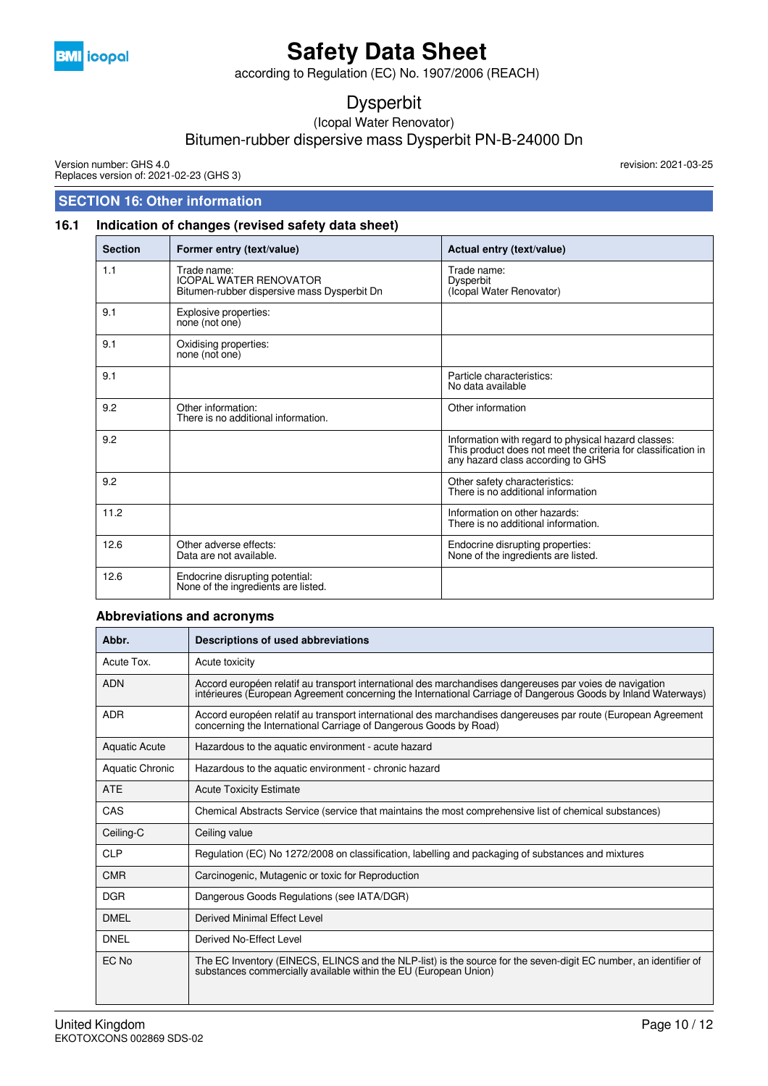

according to Regulation (EC) No. 1907/2006 (REACH)

# Dysperbit

(Icopal Water Renovator)

# Bitumen-rubber dispersive mass Dysperbit PN-B-24000 Dn

Version number: GHS 4.0 Replaces version of: 2021-02-23 (GHS 3)

 **SECTION 16: Other information**

revision: 2021-03-25

# **16.1 Indication of changes (revised safety data sheet)**

| <b>Section</b> | Former entry (text/value)                                                                   | Actual entry (text/value)                                                                                                                                 |
|----------------|---------------------------------------------------------------------------------------------|-----------------------------------------------------------------------------------------------------------------------------------------------------------|
| 1.1            | Trade name:<br><b>ICOPAL WATER RENOVATOR</b><br>Bitumen-rubber dispersive mass Dysperbit Dn | Trade name:<br>Dysperbit<br>(Icopal Water Renovator)                                                                                                      |
| 9.1            | Explosive properties:<br>none (not one)                                                     |                                                                                                                                                           |
| 9.1            | Oxidising properties:<br>none (not one)                                                     |                                                                                                                                                           |
| 9.1            |                                                                                             | Particle characteristics:<br>No data available                                                                                                            |
| 9.2            | Other information:<br>There is no additional information.                                   | Other information                                                                                                                                         |
| 9.2            |                                                                                             | Information with regard to physical hazard classes:<br>This product does not meet the criteria for classification in<br>any hazard class according to GHS |
| 9.2            |                                                                                             | Other safety characteristics:<br>There is no additional information                                                                                       |
| 11.2           |                                                                                             | Information on other hazards:<br>There is no additional information.                                                                                      |
| 12.6           | Other adverse effects:<br>Data are not available.                                           | Endocrine disrupting properties:<br>None of the ingredients are listed.                                                                                   |
| 12.6           | Endocrine disrupting potential:<br>None of the ingredients are listed.                      |                                                                                                                                                           |

#### **Abbreviations and acronyms**

| Abbr.                  | Descriptions of used abbreviations                                                                                                                                                                                       |
|------------------------|--------------------------------------------------------------------------------------------------------------------------------------------------------------------------------------------------------------------------|
| Acute Tox.             | Acute toxicity                                                                                                                                                                                                           |
| <b>ADN</b>             | Accord européen relatif au transport international des marchandises dangereuses par voies de navigation<br>intérieures (European Agreement concerning the International Carriage of Dangerous Goods by Inland Waterways) |
| <b>ADR</b>             | Accord européen relatif au transport international des marchandises dangereuses par route (European Agreement<br>concerning the International Carriage of Dangerous Goods by Road)                                       |
| <b>Aquatic Acute</b>   | Hazardous to the aquatic environment - acute hazard                                                                                                                                                                      |
| <b>Aquatic Chronic</b> | Hazardous to the aquatic environment - chronic hazard                                                                                                                                                                    |
| <b>ATE</b>             | <b>Acute Toxicity Estimate</b>                                                                                                                                                                                           |
| CAS                    | Chemical Abstracts Service (service that maintains the most comprehensive list of chemical substances)                                                                                                                   |
| Ceiling-C              | Ceiling value                                                                                                                                                                                                            |
| <b>CLP</b>             | Regulation (EC) No 1272/2008 on classification, labelling and packaging of substances and mixtures                                                                                                                       |
| <b>CMR</b>             | Carcinogenic, Mutagenic or toxic for Reproduction                                                                                                                                                                        |
| <b>DGR</b>             | Dangerous Goods Regulations (see IATA/DGR)                                                                                                                                                                               |
| <b>DMEL</b>            | Derived Minimal Effect Level                                                                                                                                                                                             |
| <b>DNEL</b>            | Derived No-Effect Level                                                                                                                                                                                                  |
| EC No                  | The EC Inventory (EINECS, ELINCS and the NLP-list) is the source for the seven-digit EC number, an identifier of<br>substances commercially available within the EU (European Union)                                     |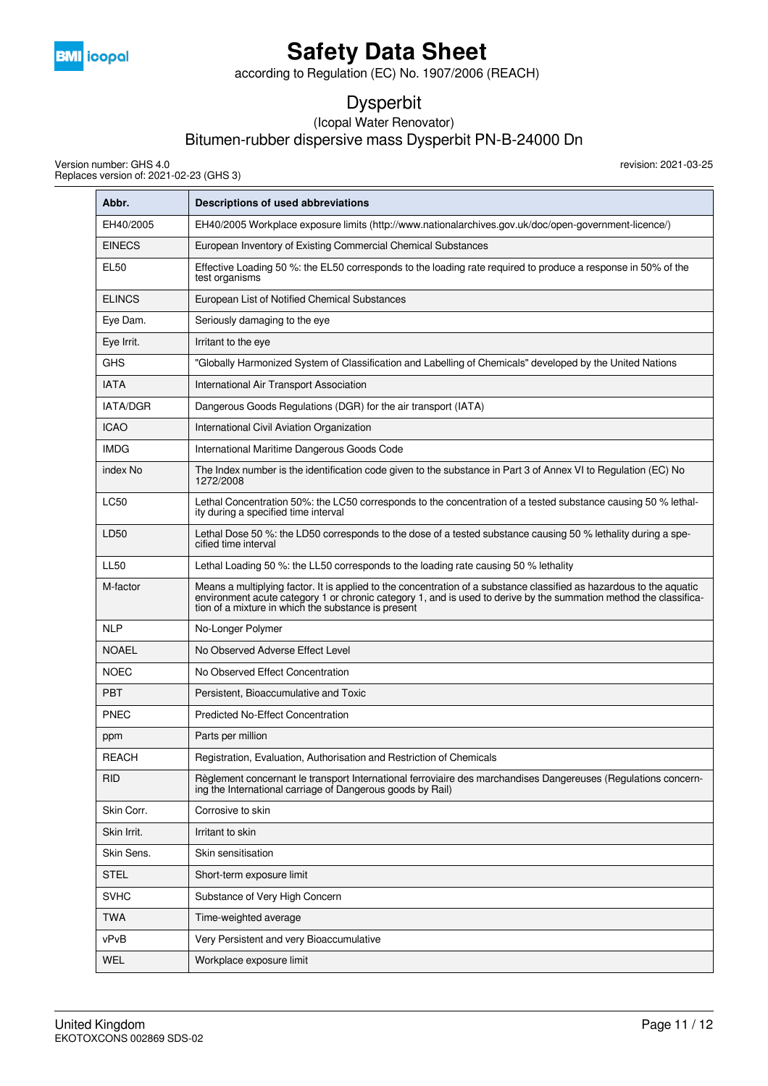

according to Regulation (EC) No. 1907/2006 (REACH)

# Dysperbit

## (Icopal Water Renovator)

Bitumen-rubber dispersive mass Dysperbit PN-B-24000 Dn

Version number: GHS 4.0 Replaces version of: 2021-02-23 (GHS 3) revision: 2021-03-25

| Abbr.           | Descriptions of used abbreviations                                                                                                                                                                                                                                                               |  |
|-----------------|--------------------------------------------------------------------------------------------------------------------------------------------------------------------------------------------------------------------------------------------------------------------------------------------------|--|
| EH40/2005       | EH40/2005 Workplace exposure limits (http://www.nationalarchives.gov.uk/doc/open-government-licence/)                                                                                                                                                                                            |  |
| <b>EINECS</b>   | European Inventory of Existing Commercial Chemical Substances                                                                                                                                                                                                                                    |  |
| EL50            | Effective Loading 50 %: the EL50 corresponds to the loading rate required to produce a response in 50% of the<br>test organisms                                                                                                                                                                  |  |
| <b>ELINCS</b>   | European List of Notified Chemical Substances                                                                                                                                                                                                                                                    |  |
| Eye Dam.        | Seriously damaging to the eye                                                                                                                                                                                                                                                                    |  |
| Eye Irrit.      | Irritant to the eye                                                                                                                                                                                                                                                                              |  |
| <b>GHS</b>      | "Globally Harmonized System of Classification and Labelling of Chemicals" developed by the United Nations                                                                                                                                                                                        |  |
| <b>IATA</b>     | International Air Transport Association                                                                                                                                                                                                                                                          |  |
| <b>IATA/DGR</b> | Dangerous Goods Regulations (DGR) for the air transport (IATA)                                                                                                                                                                                                                                   |  |
| <b>ICAO</b>     | International Civil Aviation Organization                                                                                                                                                                                                                                                        |  |
| <b>IMDG</b>     | International Maritime Dangerous Goods Code                                                                                                                                                                                                                                                      |  |
| index No        | The Index number is the identification code given to the substance in Part 3 of Annex VI to Regulation (EC) No<br>1272/2008                                                                                                                                                                      |  |
| LC50            | Lethal Concentration 50%: the LC50 corresponds to the concentration of a tested substance causing 50 % lethal-<br>ity during a specified time interval                                                                                                                                           |  |
| LD50            | Lethal Dose 50 %: the LD50 corresponds to the dose of a tested substance causing 50 % lethality during a spe-<br>cified time interval                                                                                                                                                            |  |
| <b>LL50</b>     | Lethal Loading 50 %: the LL50 corresponds to the loading rate causing 50 % lethality                                                                                                                                                                                                             |  |
| M-factor        | Means a multiplying factor. It is applied to the concentration of a substance classified as hazardous to the aquatic<br>environment acute category 1 or chronic category 1, and is used to derive by the summation method the classifica-<br>tion of a mixture in which the substance is present |  |
| <b>NLP</b>      | No-Longer Polymer                                                                                                                                                                                                                                                                                |  |
| <b>NOAEL</b>    | No Observed Adverse Effect Level                                                                                                                                                                                                                                                                 |  |
| <b>NOEC</b>     | No Observed Effect Concentration                                                                                                                                                                                                                                                                 |  |
| <b>PBT</b>      | Persistent, Bioaccumulative and Toxic                                                                                                                                                                                                                                                            |  |
| <b>PNEC</b>     | <b>Predicted No-Effect Concentration</b>                                                                                                                                                                                                                                                         |  |
| ppm             | Parts per million                                                                                                                                                                                                                                                                                |  |
| <b>REACH</b>    | Registration, Evaluation, Authorisation and Restriction of Chemicals                                                                                                                                                                                                                             |  |
| <b>RID</b>      | Règlement concernant le transport International ferroviaire des marchandises Dangereuses (Regulations concern-<br>ing the International carriage of Dangerous goods by Rail)                                                                                                                     |  |
| Skin Corr.      | Corrosive to skin                                                                                                                                                                                                                                                                                |  |
| Skin Irrit.     | Irritant to skin                                                                                                                                                                                                                                                                                 |  |
| Skin Sens.      | Skin sensitisation                                                                                                                                                                                                                                                                               |  |
| <b>STEL</b>     | Short-term exposure limit                                                                                                                                                                                                                                                                        |  |
| <b>SVHC</b>     | Substance of Very High Concern                                                                                                                                                                                                                                                                   |  |
| <b>TWA</b>      | Time-weighted average                                                                                                                                                                                                                                                                            |  |
| vPvB            | Very Persistent and very Bioaccumulative                                                                                                                                                                                                                                                         |  |
| <b>WEL</b>      | Workplace exposure limit                                                                                                                                                                                                                                                                         |  |